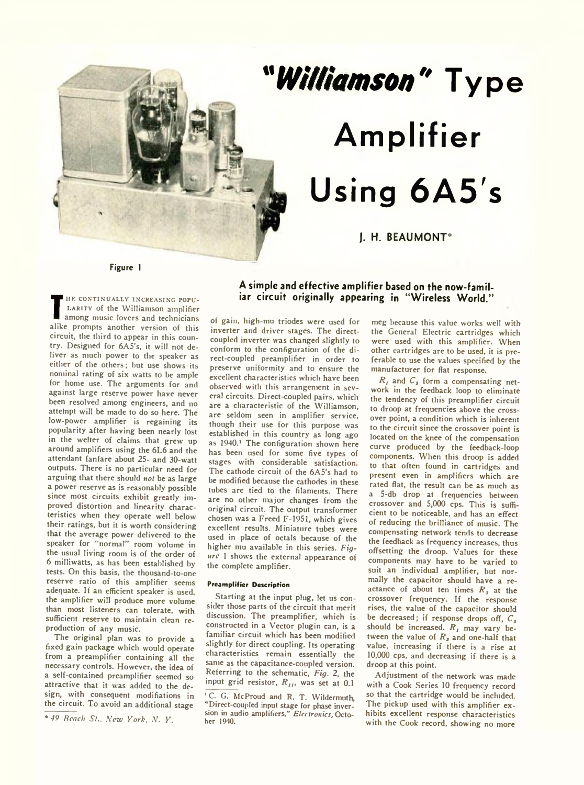

# *"Williamson'\** **Type Amplifier Using 6A5's**

# **J. H. BEAUMONT\***

**Figure 1**

**T** among music lovers and technicians HE CONTINUALLY INCREASING POPU-LARITY of the Williamson amplifier among music lovers and technicians circuit, the third to appear in this country. Designed for 6A5's, it will not deliver as much power to the speaker as either of the others; but use shows its nominal rating of six watts to be ample for home use. The arguments for and against large reserve power have never been resolved among engineers, and no attefnpt will be made to do so here. The low-power amplifier is regaining its popularity after having been nearly lost in the welter of claims that grew up around amplifiers using the 6L6 and the attendant fanfare about 25- and 30-watt outputs. There is no particular need for arguing that there should *not* be as large a power reserve as is reasonably possible since most circuits exhibit greatly improved distortion and linearity characteristics when they operate well below their ratings, but it is worth considering that the average power delivered to the speaker for "normal" room volume in the usual living room is of the order of 6 milliwatts, as has been established by tests. On this basis, the thousand-to-one reserve ratio of this amplifier seems adequate. If an efficient speaker is used, the amplifier will produce more volume than most listeners can tolerate, with sufficient reserve to maintain clean reproduction of any music.

The original plan was to provide a fixed gain package which would operate from a preamplifier containing all the necessary controls. However, the idea of a self-contained preamplifier seemed so attractive that it was added to the design, with consequent modifiations in the circuit. To avoid an additional stage

*\*49 Reach St., New York, N. Y .*

# **A simple and effective amplifier based on the now-familiar circuit originally appearing in "Wireless World."**

of gain, high-mu triodes were used for inverter and driver stages. The directcoupled inverter was changed slightly to conform to the configuration of the direct-coupled preamplifier in order to preserve uniformity and to ensure the excellent characteristics which have been observed with this arrangement in several circuits. Direct-coupled pairs, which are a characteristic of the Williamson, are seldom seen in amplifier service, though their use for this purpose was established in this country as long ago as 1940.<sup>1</sup> The configuration shown here has been used for some five types of stages with considerable satisfaction. The cathode circuit of the 6A5's had to be modified because the cathodes in these tubes are tied to the filaments. There are no other major changes from the original circuit. The output transformer chosen was a Freed F-1951, which gives excellent results. Miniature tubes were used in place of octals because of the higher mu available in this series. *Figure* 1 shows the external appearance of the complete amplifier.

## Preamplifier Description

Starting at the input plug, let us consider those parts of the circuit that merit discussion. The preamplifier, which is constructed in a Vector plugin can, is a familiar circuit which has been modified slightly for direct coupling. Its operating characteristics remain essentially the same as the capacitance-coupled version. Referring to the schematic, *Fig.* 2, the input grid resistor,  $R_{II}$ , was set at 0.1

meg because this value works well with the General Electric cartridges which were used with this amplifier. When other cartridges are to be used, it is preferable to use the values specified by the manufacturer for flat response.

 $R<sub>j</sub>$  and  $C<sub>s</sub>$  form a compensating network in the feedback loop to eliminate the tendency of this preamplifier circuit to droop at frequencies above the crossover point, a condition which is inherent to the circuit since the crossover point is located on the knee of the compensation curve produced by the feedback-loop components. When this droop is added to that often found in cartridges and present even in amplifiers which are rated flat, the result can be as much as a 5-db drop at frequencies between crossover and 5,000 cps. This is sufficient to be noticeable, and has an effect of reducing the brilliance of music. The compensating network tends to decrease the feedback as frequency increases, thus offsetting the droop. Values for these components may have to be varied to suit an individual amplifier, but normally the capacitor should have a reactance of about ten times *R ,* at the crossover frequency. If the response rises, the value of the capacitor should be decreased; if response drops off, *Cs* should be increased.  $R_t$  may vary between the value of  $R<sub>s</sub>$  and one-half that value, increasing if there is a rise at 10,000 cps, and decreasing if there is a droop at this point.

Adjustment of the network was made with a Cook Series 10 frequency record so that the cartridge would be included. The pickup used with this amplifier exhibits excellent response characteristics with the Cook record, showing no more

<sup>&</sup>lt;sup>1</sup> C. G. McProud and R. T. Wildermuth, \* Direct-coupled input stage for phase inversion in audio amplifiers," *Electronics, October* 1940.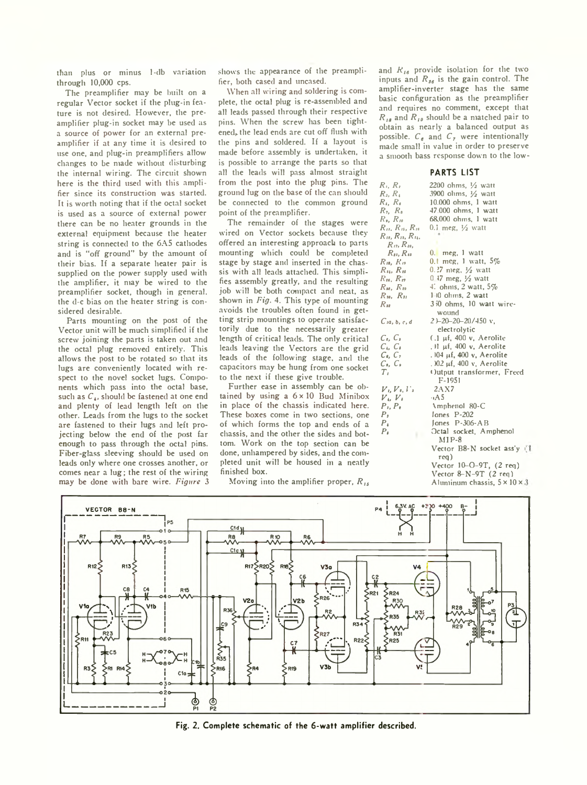than plus or minus 1-db variation through 10,000 cps.

The preamplifier may be built on a regular Vector socket if the plug-in feature is not desired. However, the preamplifier plug-in socket may be used as a source of power for an external preamplifier if at any time it is desired to use one, and plug-in preamplifiers allow changes to be made without disturbing the internal wiring. The circuit shown here is the third used with this amplifier since its construction was started. It is worth noting that if the octal socket is used as a source of external power there can be no heater grounds in the external equipment because the heater string is connected to the 6A5 cathodes and is "off ground'' by the amount of their bias. If a separate heater pair is supplied on the power supply used with the amplifier, it may be wired to the preamplifier socket, though in general, the d-c bias on the heater string is considered desirable.

Parts mounting on the post of the Vector unit will be much simplified if the screw joining the parts is taken out and the octal plug removed entirely. This allows the post to be rotated so that its lugs are conveniently located with respect to the novel socket lugs. Components which pass into the octal base, such as  $C<sub>4</sub>$ , should be fastened at one end and plenty of lead length left on the other. Leads from the lugs to the socket are fastened to their lugs and left projecting below the end of the post far enough to pass through the octal pins. Fiber-glass sleeving should be used on leads only where one crosses another, or comes near a lug; the rest of the wiring may be done with bare wire. *Figure* 3

shows the appearance of the preamplifier, both cased and uncased.

When all wiring and soldering is complete, the octal plug is re-assembled and all leads passed through their respective pins. When the screw has been tightened, the lead ends are cut off flush with the pins and soldered. If a layout is made before assembly is undertaken, it is possible to arrange the parts so that all the leads will pass almost straight from the post into the plug pins. The ground lug on the base of the can should be connected to the common ground point of the preamplifier.

The remainder of the stages were wired on Vector sockets because they offered an interesting approach to parts mounting which could be completed stage by stage and inserted in the chassis with all leads attached. This simplifies assembly greatly, and the resulting job will be both compact and neat, as shown in *Fig.* 4. This type of mounting avoids the troubles often found in getting strip mountings to operate satisfactorily due to the necessarily greater length of critical leads. The only critical leads leaving the Vectors are the grid leads of the following stage, and the capacitors may be hung from one socket to the next if these give trouble.

Further ease in assembly can be obtained by using a  $6 \times 10$  Bud Minibox in place of the chassis indicated here. These boxes come in two sections, one of which forms the top and ends of a chassis, and the other the sides and bottom. Work on the top section can be done, unhampered by sides, and the completed unit will be housed in a neatly finished box.

Moving into the amplifier proper, *R ls*

and  $R_{16}$  provide isolation for the two inputs and  $R_{16}$  is the gain control. The amplifier-inverter stage has the same basic configuration as the preamplifier and requires no comment, except that  $R_{18}$  and  $R_{19}$  should be a matched pair to obtain as nearly a balanced output as possible.  $C_{\theta}$  and  $C_{\theta}$  were intentionally made small in value in order to preserve a smooth bass response down to the low-

### **PARTS LIST**

| $R_i, R_i$                      | 2200 ohms, $\frac{1}{2}$ watt            |
|---------------------------------|------------------------------------------|
| $R_i, R_i$                      | 3900 olims, $\frac{1}{2}$ watt           |
| $R_i, R_i$                      | $10.000$ ohms, $1$ watt                  |
| $R_2, R_8$                      | 47.000 ohms 1 watt                       |
| $R_{\theta}$ , $R_{\theta}$     | 68,000 ohms, 1 watt                      |
| $R_{11}, R_{13}, R_{16}$        | 0.1 meg, $\frac{1}{2}$ watt              |
| $R_{11}, R_{13}, R_{14}$        |                                          |
| $R_{12}$ , $R_{10}$             |                                          |
| $R_{II}$ , $R_{II}$             | $0.$ meg, $1$ watt                       |
| $R_{10}$ , $R_{19}$             | $0.1$ meg, 1 watt, $5%$                  |
| $R_{14}$ , $R_{16}$             | 0.27 meg, $\frac{1}{2}$ watt             |
| $R_{10}$ , $R_{17}$             | $0.47$ meg, $\frac{1}{2}$ watt           |
| $R_{M}$ , $R_{M}$               | $\pm$ ohms, 2 watt, 5%                   |
| $R_{30}$ , $R_{31}$             | $1-10$ ohms, 2 watt                      |
| $R_{\rm{sr}}$                   | 350 ohms, 10 watt wire-                  |
|                                 | wound                                    |
| $C$ <sub>1</sub> a, b, c, d     | $2$ )-20-20-20/450 $v$ ,                 |
|                                 | electrolytic                             |
| $C_{\epsilon}$ , $C_{\epsilon}$ | $(1 \mu f, 400 \nu,$ Aerolite            |
| $C_i, C_i$                      | . Il µf, 400 v, Aerolite                 |
| $C_{\bullet}$ , $C_{\bullet}$   | . 104 µf, 400 v, Aerolite                |
| $C_{0}$ , $C_{0}$               | . )02 μf, 400 v, Aerolite                |
| $T_{I}$                         | Output transformer, Freed                |
|                                 | $F-1951$                                 |
| $V_1, V_2, V_3$                 | 2AX7                                     |
| $V_+ V_+$                       | ⊶A 5                                     |
| $P_1, P_2$                      | Amphenol 80-C                            |
| P <sub>2</sub>                  | lones P-202                              |
| $P_{4}$                         | Jones $P-306-AB$                         |
| $P_{\ell}$<br>                  | Octal socket, Amphenol<br>$MIP-8$        |
|                                 | Vector B8-N socket ass'y ()              |
|                                 | req)                                     |
|                                 | Vector 10-O-9T, (2 req)                  |
|                                 | Vector $8-N-9T$ (2 req)                  |
|                                 | Aluninum chassis, $5 \times 10 \times 3$ |



**Fig. 2. Complete schematic of the 6-watt amplifier described.**